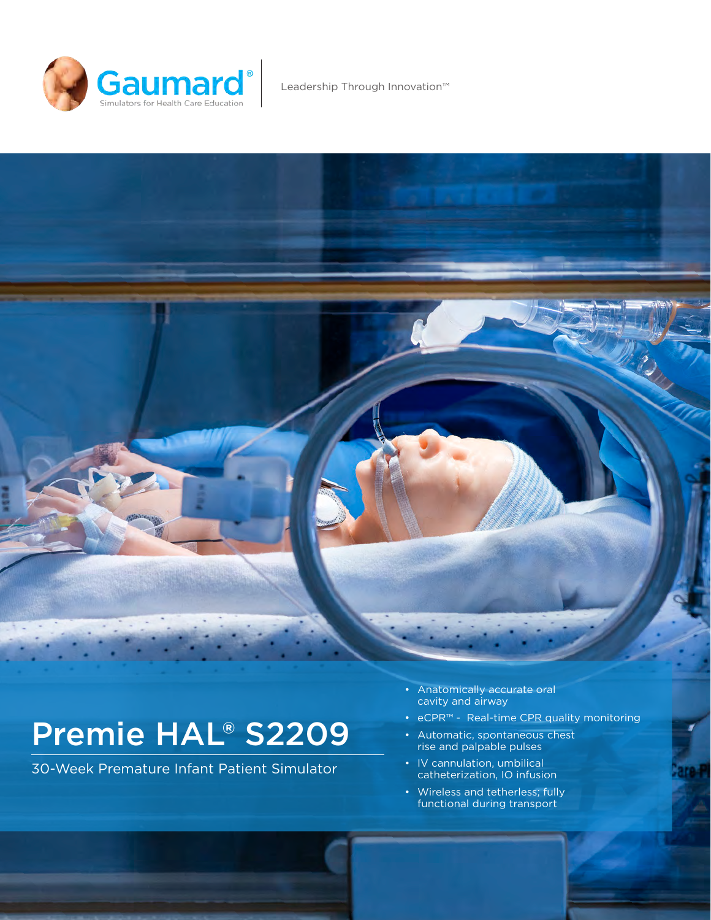

Leadership Through Innovation™



30-Week Premature Infant Patient Simulator

- Anatomically accurate oral cavity and airway
- eCPR™ Real-time CPR quality monitoring
- Automatic, spontaneous chest rise and palpable pulses
- IV cannulation, umbilical catheterization, IO infusion
- Wireless and tetherless; fully functional during transport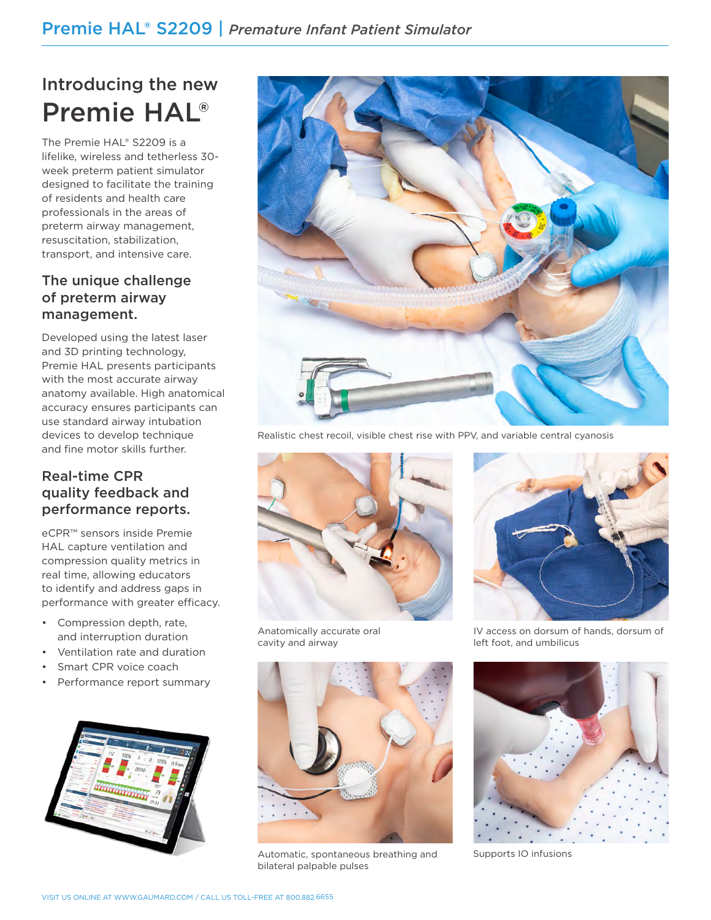# Introducing the new Premie HAL®

The Premie HAL® S2209 is a lifelike, wireless and tetherless 30 week preterm patient simulator designed to facilitate the training of residents and health care professionals in the areas of preterm airway management, resuscitation, stabilization, transport, and intensive care.

# The unique challenge of preterm airway management.

Developed using the latest laser and 3D printing technology, Premie HAL presents participants with the most accurate airway anatomy available. High anatomical accuracy ensures participants can use standard airway intubation devices to develop technique and fine motor skills further.

# Real-time CPR quality feedback and performance reports.

eCPR™ sensors inside Premie HAL capture ventilation and compression quality metrics in real time, allowing educators to identify and address gaps in performance with greater efficacy.

- Compression depth, rate, and interruption duration
- Ventilation rate and duration
- Smart CPR voice coach
- Performance report summary





Realistic chest recoil, visible chest rise with PPV, and variable central cyanosis



Automatic, spontaneous breathing and

bilateral palpable pulses

Anatomically accurate oral cavity and airway



IV access on dorsum of hands, dorsum of left foot, and umbilicus



Supports IO infusions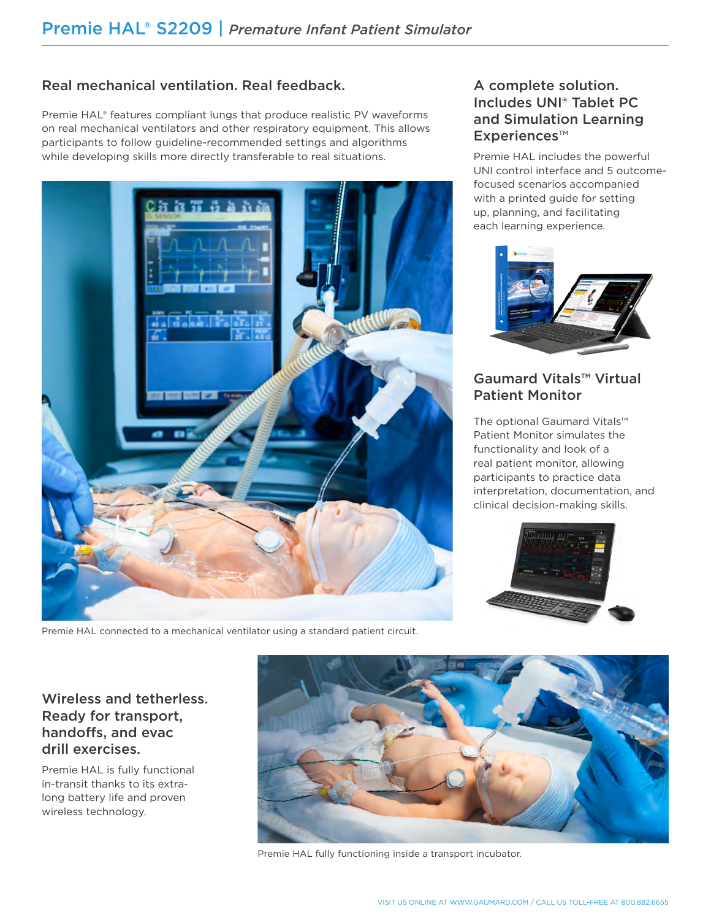# Real mechanical ventilation. Real feedback.

Premie HAL® features compliant lungs that produce realistic PV waveforms on real mechanical ventilators and other respiratory equipment. This allows participants to follow guideline-recommended settings and algorithms while developing skills more directly transferable to real situations.



Premie HAL connected to a mechanical ventilator using a standard patient circuit.

## A complete solution. Includes UNI® Tablet PC and Simulation Learning Experiences™

Premie HAL includes the powerful UNI control interface and 5 outcomefocused scenarios accompanied with a printed guide for setting up, planning, and facilitating each learning experience.



# Gaumard Vitals™ Virtual Patient Monitor

The optional Gaumard Vitals™ Patient Monitor simulates the functionality and look of a real patient monitor, allowing participants to practice data interpretation, documentation, and clinical decision-making skills.



## Wireless and tetherless. Ready for transport, handoffs, and evac drill exercises.

Premie HAL is fully functional in-transit thanks to its extralong battery life and proven wireless technology.



Premie HAL fully functioning inside a transport incubator.